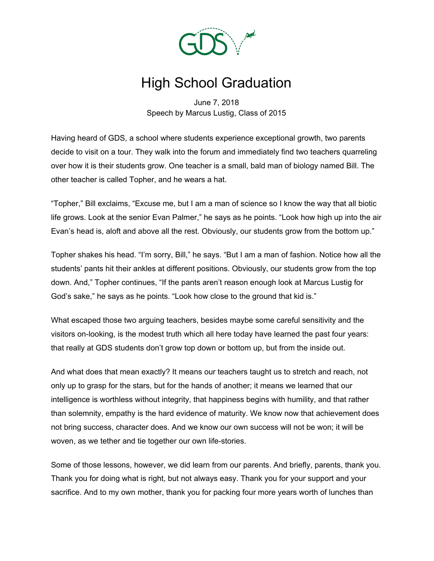

## High School Graduation

June 7, 2018 Speech by Marcus Lustig, Class of 2015

Having heard of GDS, a school where students experience exceptional growth, two parents decide to visit on a tour. They walk into the forum and immediately find two teachers quarreling over how it is their students grow. One teacher is a small, bald man of biology named Bill. The other teacher is called Topher, and he wears a hat.

"Topher," Bill exclaims, "Excuse me, but I am a man of science so I know the way that all biotic life grows. Look at the senior Evan Palmer," he says as he points. "Look how high up into the air Evan's head is, aloft and above all the rest. Obviously, our students grow from the bottom up."

Topher shakes his head. "I'm sorry, Bill," he says. "But I am a man of fashion. Notice how all the students' pants hit their ankles at different positions. Obviously, our students grow from the top down. And," Topher continues, "If the pants aren't reason enough look at Marcus Lustig for God's sake," he says as he points. "Look how close to the ground that kid is."

What escaped those two arguing teachers, besides maybe some careful sensitivity and the visitors on-looking, is the modest truth which all here today have learned the past four years: that really at GDS students don't grow top down or bottom up, but from the inside out.

And what does that mean exactly? It means our teachers taught us to stretch and reach, not only up to grasp for the stars, but for the hands of another; it means we learned that our intelligence is worthless without integrity, that happiness begins with humility, and that rather than solemnity, empathy is the hard evidence of maturity. We know now that achievement does not bring success, character does. And we know our own success will not be won; it will be woven, as we tether and tie together our own life-stories.

Some of those lessons, however, we did learn from our parents. And briefly, parents, thank you. Thank you for doing what is right, but not always easy. Thank you for your support and your sacrifice. And to my own mother, thank you for packing four more years worth of lunches than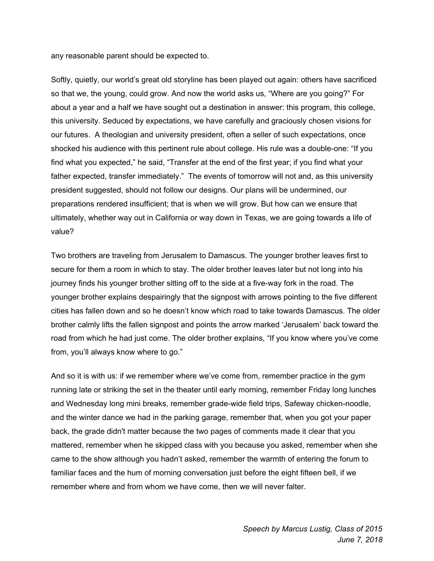any reasonable parent should be expected to.

Softly, quietly, our world's great old storyline has been played out again: others have sacrificed so that we, the young, could grow. And now the world asks us, "Where are you going?" For about a year and a half we have sought out a destination in answer: this program, this college, this university. Seduced by expectations, we have carefully and graciously chosen visions for our futures. A theologian and university president, often a seller of such expectations, once shocked his audience with this pertinent rule about college. His rule was a double-one: "If you find what you expected," he said, "Transfer at the end of the first year; if you find what your father expected, transfer immediately." The events of tomorrow will not and, as this university president suggested, should not follow our designs. Our plans will be undermined, our preparations rendered insufficient; that is when we will grow. But how can we ensure that ultimately, whether way out in California or way down in Texas, we are going towards a life of value?

Two brothers are traveling from Jerusalem to Damascus. The younger brother leaves first to secure for them a room in which to stay. The older brother leaves later but not long into his journey finds his younger brother sitting off to the side at a five-way fork in the road. The younger brother explains despairingly that the signpost with arrows pointing to the five different cities has fallen down and so he doesn't know which road to take towards Damascus. The older brother calmly lifts the fallen signpost and points the arrow marked 'Jerusalem' back toward the road from which he had just come. The older brother explains, "If you know where you've come from, you'll always know where to go."

And so it is with us: if we remember where we've come from, remember practice in the gym running late or striking the set in the theater until early morning, remember Friday long lunches and Wednesday long mini breaks, remember grade-wide field trips, Safeway chicken-noodle, and the winter dance we had in the parking garage, remember that, when you got your paper back, the grade didn't matter because the two pages of comments made it clear that you mattered, remember when he skipped class with you because you asked, remember when she came to the show although you hadn't asked, remember the warmth of entering the forum to familiar faces and the hum of morning conversation just before the eight fifteen bell, if we remember where and from whom we have come, then we will never falter.